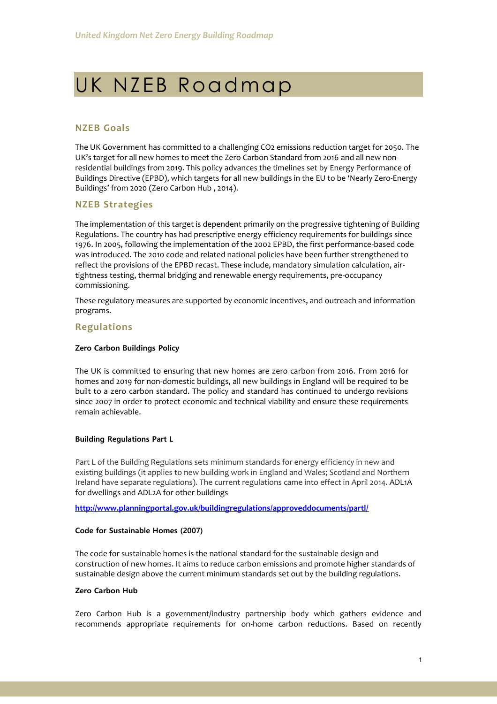# UK NZEB Roadmap

# **NZEB Goals**

The UK Government has committed to a challenging CO2 emissions reduction target for 2050. The UK's target for all new homes to meet the Zero Carbon Standard from 2016 and all new nonresidential buildings from 2019. This policy advances the timelines set by Energy Performance of Buildings Directive (EPBD), which targets for all new buildings in the EU to be 'Nearly Zero-Energy Buildings' from 2020 (Zero Carbon Hub , 2014).

# **NZEB Strategies**

The implementation of this target is dependent primarily on the progressive tightening of Building Regulations. The country has had prescriptive energy efficiency requirements for buildings since 1976. In 2005, following the implementation of the 2002 EPBD, the first performance-based code was introduced. The 2010 code and related national policies have been further strengthened to reflect the provisions of the EPBD recast. These include, mandatory simulation calculation, airtightness testing, thermal bridging and renewable energy requirements, pre-occupancy commissioning.

These regulatory measures are supported by economic incentives, and outreach and information programs.

# **Regulations**

#### **Zero Carbon Buildings Policy**

The UK is committed to ensuring that new homes are zero carbon from 2016. From 2016 for homes and 2019 for non-domestic buildings, all new buildings in England will be required to be built to a zero carbon standard. The policy and standard has continued to undergo revisions since 2007 in order to protect economic and technical viability and ensure these requirements remain achievable.

#### **Building Regulations Part L**

Part L of the Building Regulations sets minimum standards for energy efficiency in new and existing buildings (it applies to new building work in England and Wales; Scotland and Northern Ireland have separate regulations). The current regulations came into effect in April 2014. ADL1A for dwellings and ADL2A for other buildings

**<http://www.planningportal.gov.uk/buildingregulations/approveddocuments/partl/>**

#### **Code for Sustainable Homes (2007)**

The code for sustainable homes is the national standard for the sustainable design and construction of new homes. It aims to reduce carbon emissions and promote higher standards of sustainable design above the current minimum standards set out by the building regulations.

### **Zero Carbon Hub**

Zero Carbon Hub is a government/industry partnership body which gathers evidence and recommends appropriate requirements for on-home carbon reductions. Based on recently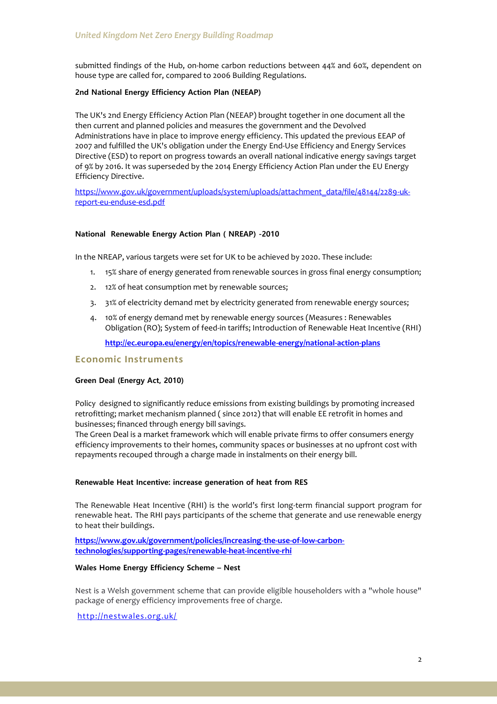submitted findings of the Hub, on-home carbon reductions between 44% and 60%, dependent on house type are called for, compared to 2006 Building Regulations.

# **2nd National Energy Efficiency Action Plan (NEEAP)**

The UK's 2nd Energy Efficiency Action Plan (NEEAP) brought together in one document all the then current and planned policies and measures the government and the Devolved Administrations have in place to improve energy efficiency. This updated the previous EEAP of 2007 and fulfilled the UK's obligation under the Energy End-Use Efficiency and Energy Services Directive (ESD) to report on progress towards an overall national indicative energy savings target of 9% by 2016. It was superseded by the 2014 Energy Efficiency Action Plan under the EU Energy Efficiency Directive.

[https://www.gov.uk/government/uploads/system/uploads/attachment\\_data/file/48144/2289-uk](https://www.gov.uk/government/uploads/system/uploads/attachment_data/file/48144/2289-uk-report-eu-enduse-esd.pdf)[report-eu-enduse-esd.pdf](https://www.gov.uk/government/uploads/system/uploads/attachment_data/file/48144/2289-uk-report-eu-enduse-esd.pdf)

# **National Renewable Energy Action Plan ( NREAP) -2010**

In the NREAP, various targets were set for UK to be achieved by 2020. These include:

- 1. 15% share of energy generated from renewable sources in gross final energy consumption;
- 2. 12% of heat consumption met by renewable sources;
- 3. 31% of electricity demand met by electricity generated from renewable energy sources;
- 4. 10% of energy demand met by renewable energy sources (Measures : Renewables Obligation (RO); System of feed-in tariffs; Introduction of Renewable Heat Incentive (RHI)

**<http://ec.europa.eu/energy/en/topics/renewable-energy/national-action-plans>**

# **Economic Instruments**

# **Green Deal (Energy Act, 2010)**

Policy designed to significantly reduce emissions from existing buildings by promoting increased retrofitting; market mechanism planned ( since 2012) that will enable EE retrofit in homes and businesses; financed through energy bill savings.

The Green Deal is a market framework which will enable private firms to offer consumers energy efficiency improvements to their homes, community spaces or businesses at no upfront cost with repayments recouped through a charge made in instalments on their energy bill.

# **Renewable Heat Incentive: increase generation of heat from RES**

The Renewable Heat Incentive (RHI) is the world's first long-term financial support program for renewable heat. The RHI pays participants of the scheme that generate and use renewable energy to heat their buildings.

**[https://www.gov.uk/government/policies/increasing-the-use-of-low-carbon](https://www.gov.uk/government/policies/increasing-the-use-of-low-carbon-technologies/supporting-pages/renewable-heat-incentive-rhi)[technologies/supporting-pages/renewable-heat-incentive-rhi](https://www.gov.uk/government/policies/increasing-the-use-of-low-carbon-technologies/supporting-pages/renewable-heat-incentive-rhi)**

# **Wales Home Energy Efficiency Scheme – Nest**

Nest is a Welsh government scheme that can provide eligible householders with a "whole house" package of energy efficiency improvements free of charge.

<http://nestwales.org.uk/>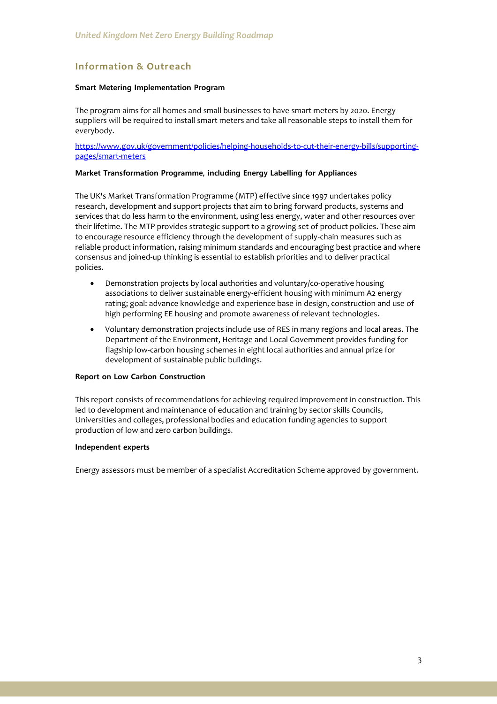# **Information & Outreach**

# **Smart Metering Implementation Program**

The program aims for all homes and small businesses to have smart meters by 2020. Energy suppliers will be required to install smart meters and take all reasonable steps to install them for everybody.

[https://www.gov.uk/government/policies/helping-households-to-cut-their-energy-bills/supporting](https://www.gov.uk/government/policies/helping-households-to-cut-their-energy-bills/supporting-pages/smart-meters)[pages/smart-meters](https://www.gov.uk/government/policies/helping-households-to-cut-their-energy-bills/supporting-pages/smart-meters)

#### **Market Transformation Programme, including Energy Labelling for Appliances**

The UK's Market Transformation Programme (MTP) effective since 1997 undertakes policy research, development and support projects that aim to bring forward products, systems and services that do less harm to the environment, using less energy, water and other resources over their lifetime. The MTP provides strategic support to a growing set of product policies. These aim to encourage resource efficiency through the development of supply-chain measures such as reliable product information, raising minimum standards and encouraging best practice and where consensus and joined-up thinking is essential to establish priorities and to deliver practical policies.

- Demonstration projects by local authorities and voluntary/co-operative housing associations to deliver sustainable energy-efficient housing with minimum A2 energy rating; goal: advance knowledge and experience base in design, construction and use of high performing EE housing and promote awareness of relevant technologies.
- Voluntary demonstration projects include use of RES in many regions and local areas. The Department of the Environment, Heritage and Local Government provides funding for flagship low-carbon housing schemes in eight local authorities and annual prize for development of sustainable public buildings.

# **Report on Low Carbon Construction**

This report consists of recommendations for achieving required improvement in construction. This led to development and maintenance of education and training by sector skills Councils, Universities and colleges, professional bodies and education funding agencies to support production of low and zero carbon buildings.

#### **Independent experts**

Energy assessors must be member of a specialist Accreditation Scheme approved by government.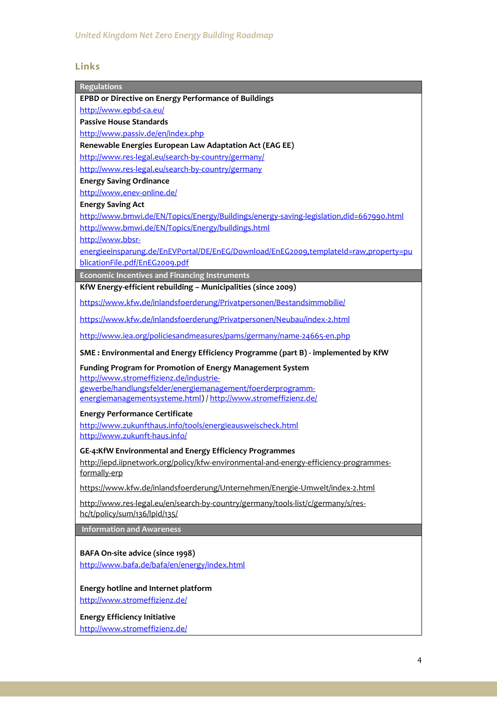# **Links**

| <b>Regulations</b>                                                                                                           |
|------------------------------------------------------------------------------------------------------------------------------|
| EPBD or Directive on Energy Performance of Buildings                                                                         |
| http://www.epbd-ca.eu/                                                                                                       |
| <b>Passive House Standards</b>                                                                                               |
| http://www.passiv.de/en/index.php                                                                                            |
| Renewable Energies European Law Adaptation Act (EAG EE)                                                                      |
| http://www.res-legal.eu/search-by-country/germany/                                                                           |
| http://www.res-legal.eu/search-by-country/germany                                                                            |
| <b>Energy Saving Ordinance</b>                                                                                               |
| http://www.enev-online.de/                                                                                                   |
| <b>Energy Saving Act</b>                                                                                                     |
| http://www.bmwi.de/EN/Topics/Energy/Buildings/energy-saving-legislation,did=667990.html                                      |
| http://www.bmwi.de/EN/Topics/Energy/buildings.html                                                                           |
| http://www.bbsr-                                                                                                             |
| energieeinsparung.de/EnEVPortal/DE/EnEG/Download/EnEG2009,templateId=raw,property=pu                                         |
| blicationFile.pdf/EnEG2009.pdf                                                                                               |
| <b>Economic Incentives and Financing Instruments</b>                                                                         |
| KfW Energy-efficient rebuilding - Municipalities (since 2009)                                                                |
| https://www.kfw.de/inlandsfoerderung/Privatpersonen/Bestandsimmobilie/                                                       |
| https://www.kfw.de/inlandsfoerderung/Privatpersonen/Neubau/index-2.html                                                      |
| http://www.iea.org/policiesandmeasures/pams/germany/name-24665-en.php                                                        |
| SME: Environmental and Energy Efficiency Programme (part B) - implemented by KfW                                             |
| Funding Program for Promotion of Energy Management System                                                                    |
| http://www.stromeffizienz.de/industrie-                                                                                      |
| gewerbe/handlungsfelder/energiemanagement/foerderprogramm-<br>energiemanagementsysteme.html) / http://www.stromeffizienz.de/ |
|                                                                                                                              |
| <b>Energy Performance Certificate</b>                                                                                        |
| http://www.zukunfthaus.info/tools/energieausweischeck.html                                                                   |
| http://www.zukunft-haus.info/                                                                                                |
| GE-4:KfW Environmental and Energy Efficiency Programmes                                                                      |
| http://iepd.iipnetwork.org/policy/kfw-environmental-and-energy-efficiency-programmes-                                        |
| formally-erp                                                                                                                 |
| https://www.kfw.de/inlandsfoerderung/Unternehmen/Energie-Umwelt/index-2.html                                                 |
| http://www.res-legal.eu/en/search-by-country/germany/tools-list/c/germany/s/res-<br>hc/t/policy/sum/136/lpid/135/            |
| <b>Information and Awareness</b>                                                                                             |
|                                                                                                                              |
| BAFA On-site advice (since 1998)                                                                                             |
| http://www.bafa.de/bafa/en/energy/index.html                                                                                 |
|                                                                                                                              |
| Energy hotline and Internet platform                                                                                         |
| http://www.stromeffizienz.de/                                                                                                |
|                                                                                                                              |
| <b>Energy Efficiency Initiative</b>                                                                                          |
| http://www.stromeffizienz.de/                                                                                                |
|                                                                                                                              |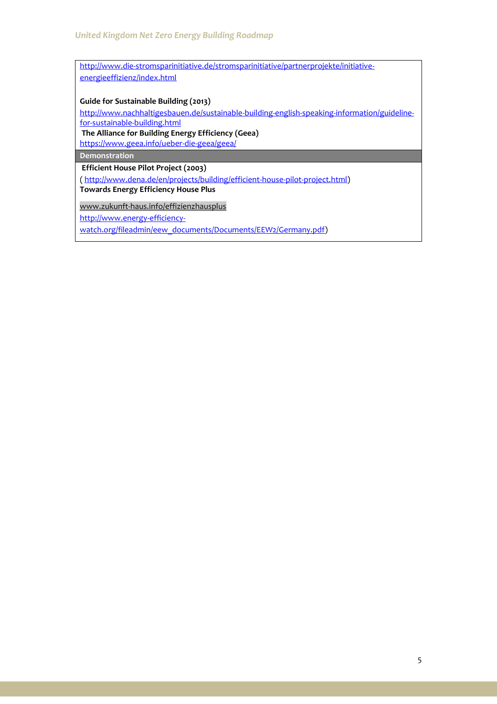[http://www.die-stromsparinitiative.de/stromsparinitiative/partnerprojekte/initiative](http://www.die-stromsparinitiative.de/stromsparinitiative/partnerprojekte/initiative-%20%20%20%20energieeffizienz/index.html)[energieeffizienz/index.html](http://www.die-stromsparinitiative.de/stromsparinitiative/partnerprojekte/initiative-%20%20%20%20energieeffizienz/index.html)

**Guide for Sustainable Building (2013)** 

[http://www.nachhaltigesbauen.de/sustainable-building-english-speaking-information/guideline](http://www.nachhaltigesbauen.de/sustainable-building-english-speaking-information/guideline-for-sustainable-building.html)[for-sustainable-building.html](http://www.nachhaltigesbauen.de/sustainable-building-english-speaking-information/guideline-for-sustainable-building.html)

**The Alliance for Building Energy Efficiency (Geea)**

<https://www.geea.info/ueber-die-geea/geea/>

**Demonstration**

**Efficient House Pilot Project (2003)**

[\( http://www.dena.de/en/projects/building/efficient-house-pilot-project.html\)](http://www.dena.de/en/projects/building/efficient-house-pilot-project.html) **Towards Energy Efficiency House Plus**

[www.zukunft-haus.info/effizienzhausplus](http://www.zukunft-haus.info/bauen-sanieren/schritt-fuer-schritt-zum-effizienzhaus/dena-modellvorhaben-effizienzhaeuser.html)

http://www.energy-efficiency-

watch.org/fileadmin/eew\_documents/Documents/EEW2/Germany.pdf)